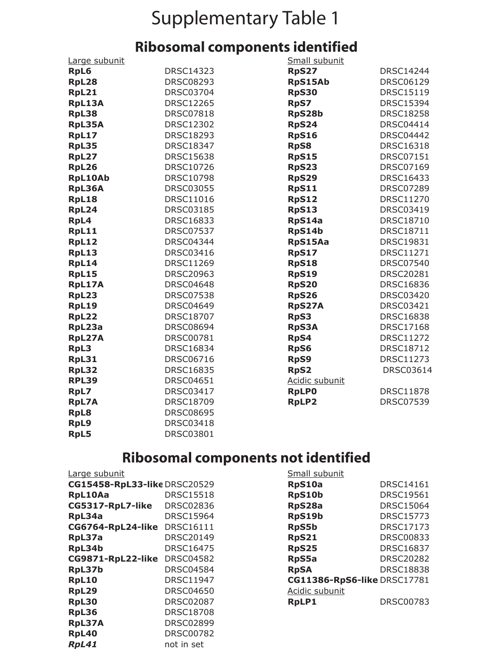## Supplementary Table 1

## **Ribosomal components identified**

| Large subunit  |                  | Small subunit  |                  |
|----------------|------------------|----------------|------------------|
| <b>RpL6</b>    | <b>DRSC14323</b> | <b>RpS27</b>   | <b>DRSC14244</b> |
| RpL28          | <b>DRSC08293</b> | RpS15Ab        | <b>DRSC06129</b> |
| RpL21          | <b>DRSC03704</b> | <b>RpS30</b>   | <b>DRSC15119</b> |
| RpL13A         | <b>DRSC12265</b> | <b>RpS7</b>    | <b>DRSC15394</b> |
| RpL38          | <b>DRSC07818</b> | RpS28b         | <b>DRSC18258</b> |
| RpL35A         | <b>DRSC12302</b> | <b>RpS24</b>   | <b>DRSC04414</b> |
| RpL17          | <b>DRSC18293</b> | <b>RpS16</b>   | <b>DRSC04442</b> |
| RpL35          | <b>DRSC18347</b> | <b>RpS8</b>    | <b>DRSC16318</b> |
| RpL27          | <b>DRSC15638</b> | <b>RpS15</b>   | <b>DRSC07151</b> |
| RpL26          | <b>DRSC10726</b> | <b>RpS23</b>   | <b>DRSC07169</b> |
| <b>RpL10Ab</b> | <b>DRSC10798</b> | <b>RpS29</b>   | <b>DRSC16433</b> |
| RpL36A         | <b>DRSC03055</b> | <b>RpS11</b>   | <b>DRSC07289</b> |
| RpL18          | <b>DRSC11016</b> | <b>RpS12</b>   | <b>DRSC11270</b> |
| RpL24          | <b>DRSC03185</b> | <b>RpS13</b>   | <b>DRSC03419</b> |
| RpL4           | <b>DRSC16833</b> | RpS14a         | <b>DRSC18710</b> |
| RpL11          | <b>DRSC07537</b> | RpS14b         | <b>DRSC18711</b> |
| RpL12          | <b>DRSC04344</b> | RpS15Aa        | <b>DRSC19831</b> |
| RpL13          | <b>DRSC03416</b> | <b>RpS17</b>   | <b>DRSC11271</b> |
| RpL14          | <b>DRSC11269</b> | <b>RpS18</b>   | <b>DRSC07540</b> |
| RpL15          | <b>DRSC20963</b> | <b>RpS19</b>   | <b>DRSC20281</b> |
| RpL17A         | <b>DRSC04648</b> | <b>RpS20</b>   | <b>DRSC16836</b> |
| RpL23          | <b>DRSC07538</b> | <b>RpS26</b>   | <b>DRSC03420</b> |
| <b>RpL19</b>   | <b>DRSC04649</b> | RpS27A         | DRSC03421        |
| RpL22          | <b>DRSC18707</b> | <b>RpS3</b>    | <b>DRSC16838</b> |
| RpL23a         | <b>DRSC08694</b> | <b>RpS3A</b>   | <b>DRSC17168</b> |
| RpL27A         | <b>DRSC00781</b> | RpS4           | <b>DRSC11272</b> |
| RpL3           | <b>DRSC16834</b> | <b>RpS6</b>    | <b>DRSC18712</b> |
| RpL31          | <b>DRSC06716</b> | RpS9           | <b>DRSC11273</b> |
| RpL32          | <b>DRSC16835</b> | <b>RpS2</b>    | <b>DRSC03614</b> |
| <b>RPL39</b>   | <b>DRSC04651</b> | Acidic subunit |                  |
| RpL7           | <b>DRSC03417</b> | <b>RpLP0</b>   | <b>DRSC11878</b> |
| <b>RpL7A</b>   | <b>DRSC18709</b> | <b>RpLP2</b>   | <b>DRSC07539</b> |
| <b>RpL8</b>    | <b>DRSC08695</b> |                |                  |
| RpL9           | <b>DRSC03418</b> |                |                  |

## **Ribosomal components not identified**

| Large subunit                |                  | Small subunit               |                  |  |
|------------------------------|------------------|-----------------------------|------------------|--|
| CG15458-RpL33-like DRSC20529 |                  | RpS10a                      | <b>DRSC14161</b> |  |
| RpL10Aa                      | <b>DRSC15518</b> | RpS10b                      | <b>DRSC19561</b> |  |
| CG5317-RpL7-like             | <b>DRSC02836</b> | RpS28a                      | <b>DRSC15064</b> |  |
| RpL34a                       | <b>DRSC15964</b> | RpS19b                      | <b>DRSC15773</b> |  |
| CG6764-RpL24-like            | <b>DRSC16111</b> | <b>RpS5b</b>                | <b>DRSC17173</b> |  |
| RpL37a                       | <b>DRSC20149</b> | <b>RpS21</b>                | <b>DRSC00833</b> |  |
| RpL34b                       | <b>DRSC16475</b> | <b>RpS25</b>                | <b>DRSC16837</b> |  |
| CG9871-RpL22-like DRSC04582  |                  | RpS5a                       | <b>DRSC20282</b> |  |
| RpL37b                       | <b>DRSC04584</b> | <b>RpSA</b>                 | <b>DRSC18838</b> |  |
| <b>RpL10</b>                 | <b>DRSC11947</b> | CG11386-RpS6-like DRSC17781 |                  |  |
| RpL29                        | <b>DRSC04650</b> | Acidic subunit              |                  |  |
| RpL30                        | <b>DRSC02087</b> | <b>RpLP1</b>                | <b>DRSC00783</b> |  |
| RpL36                        | <b>DRSC18708</b> |                             |                  |  |
| RpL37A                       | <b>DRSC02899</b> |                             |                  |  |
| RpL40                        | <b>DRSC00782</b> |                             |                  |  |
| RpL41                        | not in set       |                             |                  |  |

**RpL5** DRSC03801

| Small subunit               |                  |  |  |  |
|-----------------------------|------------------|--|--|--|
| <b>RpS10a</b>               | DRSC14161        |  |  |  |
| RpS10b                      | DRSC19561        |  |  |  |
| RpS28a                      | DRSC15064        |  |  |  |
| RpS19b                      | DRSC15773        |  |  |  |
| <b>RpS5b</b>                | DRSC17173        |  |  |  |
| <b>RpS21</b>                | DRSC00833        |  |  |  |
| <b>RpS25</b>                | DRSC16837        |  |  |  |
| <b>RpS5a</b>                | <b>DRSC20282</b> |  |  |  |
| <b>RpSA</b>                 | <b>DRSC18838</b> |  |  |  |
| CG11386-RpS6-like DRSC17781 |                  |  |  |  |
| Acidic subunit              |                  |  |  |  |
| <b>RpLP1</b>                | DRSC00783        |  |  |  |